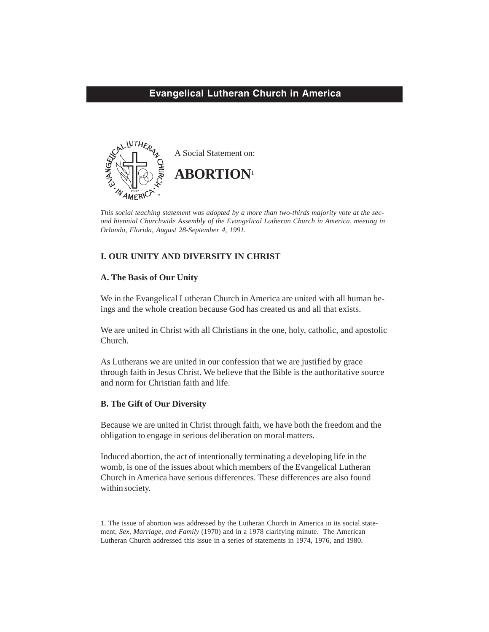# **Evangelical Lutheran Church in America**



*This social teaching statement was adopted by a more than two-thirds majority vote at the second biennial Churchwide Assembly of the Evangelical Lutheran Church in America, meeting in Orlando, Florida, August 28-September 4, 1991.*

# **I. OUR UNITY AND DIVERSITY IN CHRIST**

# **A. The Basis of Our Unity**

We in the Evangelical Lutheran Church in America are united with all human beings and the whole creation because God has created us and all that exists.

We are united in Christ with all Christians in the one, holy, catholic, and apostolic Church.

As Lutherans we are united in our confession that we are justified by grace through faith in Jesus Christ. We believe that the Bible is the authoritative source and norm for Christian faith and life.

# **B. The Gift of Our Diversity**

Because we are united in Christ through faith, we have both the freedom and the obligation to engage in serious deliberation on moral matters.

Induced abortion, the act of intentionally terminating a developing life in the womb, is one of the issues about which members of the Evangelical Lutheran Church in America have serious differences. These differences are also found within society.

<sup>1.</sup> The issue of abortion was addressed by the Lutheran Church in America in its social statement, *Sex, Marriage, and Family* (1970) and in a 1978 clarifying minute. The American Lutheran Church addressed this issue in a series of statements in 1974, 1976, and 1980.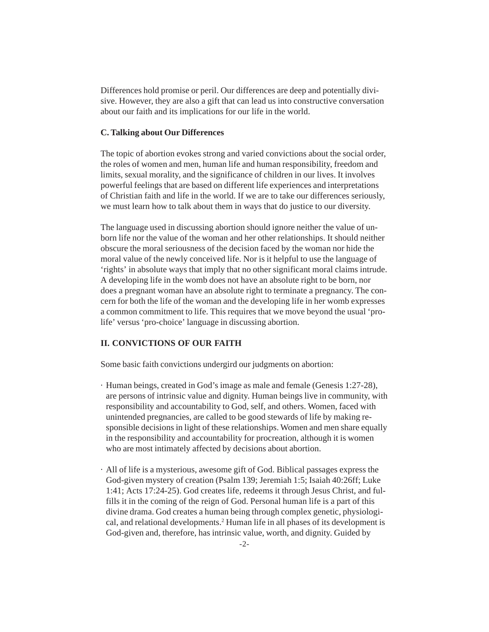Differences hold promise or peril. Our differences are deep and potentially divisive. However, they are also a gift that can lead us into constructive conversation about our faith and its implications for our life in the world.

### **C. Talking about Our Differences**

The topic of abortion evokes strong and varied convictions about the social order, the roles of women and men, human life and human responsibility, freedom and limits, sexual morality, and the significance of children in our lives. It involves powerful feelings that are based on different life experiences and interpretations of Christian faith and life in the world. If we are to take our differences seriously, we must learn how to talk about them in ways that do justice to our diversity.

The language used in discussing abortion should ignore neither the value of unborn life nor the value of the woman and her other relationships. It should neither obscure the moral seriousness of the decision faced by the woman nor hide the moral value of the newly conceived life. Nor is it helpful to use the language of 'rights' in absolute ways that imply that no other significant moral claims intrude. A developing life in the womb does not have an absolute right to be born, nor does a pregnant woman have an absolute right to terminate a pregnancy. The concern for both the life of the woman and the developing life in her womb expresses a common commitment to life. This requires that we move beyond the usual 'prolife' versus 'pro-choice' language in discussing abortion.

# **II. CONVICTIONS OF OUR FAITH**

Some basic faith convictions undergird our judgments on abortion:

- · Human beings, created in God's image as male and female (Genesis 1:27-28), are persons of intrinsic value and dignity. Human beings live in community, with responsibility and accountability to God, self, and others. Women, faced with unintended pregnancies, are called to be good stewards of life by making responsible decisions in light of these relationships. Women and men share equally in the responsibility and accountability for procreation, although it is women who are most intimately affected by decisions about abortion.
- · All of life is a mysterious, awesome gift of God. Biblical passages express the God-given mystery of creation (Psalm 139; Jeremiah 1:5; Isaiah 40:26ff; Luke 1:41; Acts 17:24-25). God creates life, redeems it through Jesus Christ, and fulfills it in the coming of the reign of God. Personal human life is a part of this divine drama. God creates a human being through complex genetic, physiological, and relational developments.<sup>2</sup> Human life in all phases of its development is God-given and, therefore, has intrinsic value, worth, and dignity. Guided by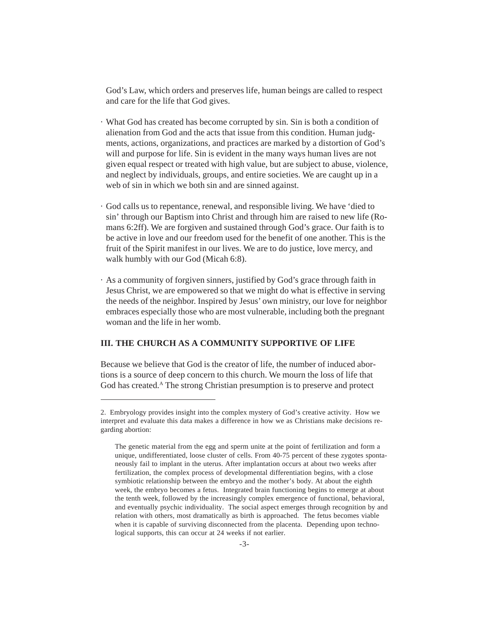God's Law, which orders and preserves life, human beings are called to respect and care for the life that God gives.

- · What God has created has become corrupted by sin. Sin is both a condition of alienation from God and the acts that issue from this condition. Human judgments, actions, organizations, and practices are marked by a distortion of God's will and purpose for life. Sin is evident in the many ways human lives are not given equal respect or treated with high value, but are subject to abuse, violence, and neglect by individuals, groups, and entire societies. We are caught up in a web of sin in which we both sin and are sinned against.
- · God calls us to repentance, renewal, and responsible living. We have 'died to sin' through our Baptism into Christ and through him are raised to new life (Romans 6:2ff). We are forgiven and sustained through God's grace. Our faith is to be active in love and our freedom used for the benefit of one another. This is the fruit of the Spirit manifest in our lives. We are to do justice, love mercy, and walk humbly with our God (Micah 6:8).
- · As a community of forgiven sinners, justified by God's grace through faith in Jesus Christ, we are empowered so that we might do what is effective in serving the needs of the neighbor. Inspired by Jesus' own ministry, our love for neighbor embraces especially those who are most vulnerable, including both the pregnant woman and the life in her womb.

# **III. THE CHURCH AS A COMMUNITY SUPPORTIVE OF LIFE**

Because we believe that God is the creator of life, the number of induced abortions is a source of deep concern to this church. We mourn the loss of life that God has created.<sup>A</sup> The strong Christian presumption is to preserve and protect

<sup>2.</sup> Embryology provides insight into the complex mystery of God's creative activity. How we interpret and evaluate this data makes a difference in how we as Christians make decisions regarding abortion:

The genetic material from the egg and sperm unite at the point of fertilization and form a unique, undifferentiated, loose cluster of cells. From 40-75 percent of these zygotes spontaneously fail to implant in the uterus. After implantation occurs at about two weeks after fertilization, the complex process of developmental differentiation begins, with a close symbiotic relationship between the embryo and the mother's body. At about the eighth week, the embryo becomes a fetus. Integrated brain functioning begins to emerge at about the tenth week, followed by the increasingly complex emergence of functional, behavioral, and eventually psychic individuality. The social aspect emerges through recognition by and relation with others, most dramatically as birth is approached. The fetus becomes viable when it is capable of surviving disconnected from the placenta. Depending upon technological supports, this can occur at 24 weeks if not earlier.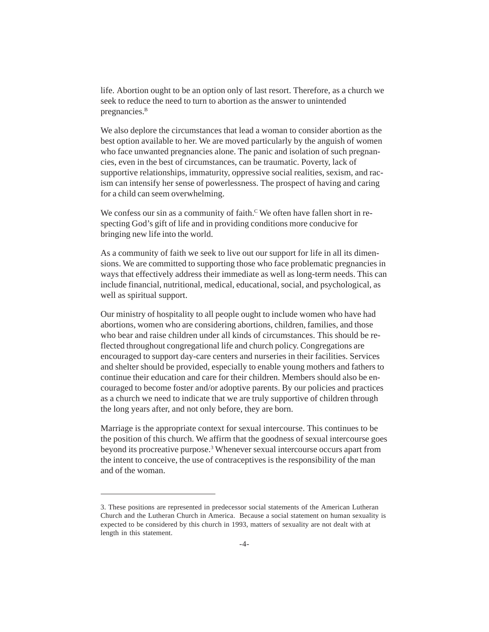life. Abortion ought to be an option only of last resort. Therefore, as a church we seek to reduce the need to turn to abortion as the answer to unintended pregnancies.<sup>B</sup>

We also deplore the circumstances that lead a woman to consider abortion as the best option available to her. We are moved particularly by the anguish of women who face unwanted pregnancies alone. The panic and isolation of such pregnancies, even in the best of circumstances, can be traumatic. Poverty, lack of supportive relationships, immaturity, oppressive social realities, sexism, and racism can intensify her sense of powerlessness. The prospect of having and caring for a child can seem overwhelming.

We confess our sin as a community of faith.<sup> $\rm c$ </sup> We often have fallen short in respecting God's gift of life and in providing conditions more conducive for bringing new life into the world.

As a community of faith we seek to live out our support for life in all its dimensions. We are committed to supporting those who face problematic pregnancies in ways that effectively address their immediate as well as long-term needs. This can include financial, nutritional, medical, educational, social, and psychological, as well as spiritual support.

Our ministry of hospitality to all people ought to include women who have had abortions, women who are considering abortions, children, families, and those who bear and raise children under all kinds of circumstances. This should be reflected throughout congregational life and church policy. Congregations are encouraged to support day-care centers and nurseries in their facilities. Services and shelter should be provided, especially to enable young mothers and fathers to continue their education and care for their children. Members should also be encouraged to become foster and/or adoptive parents. By our policies and practices as a church we need to indicate that we are truly supportive of children through the long years after, and not only before, they are born.

Marriage is the appropriate context for sexual intercourse. This continues to be the position of this church. We affirm that the goodness of sexual intercourse goes beyond its procreative purpose.<sup>3</sup> Whenever sexual intercourse occurs apart from the intent to conceive, the use of contraceptives is the responsibility of the man and of the woman.

<sup>3.</sup> These positions are represented in predecessor social statements of the American Lutheran Church and the Lutheran Church in America. Because a social statement on human sexuality is expected to be considered by this church in 1993, matters of sexuality are not dealt with at length in this statement.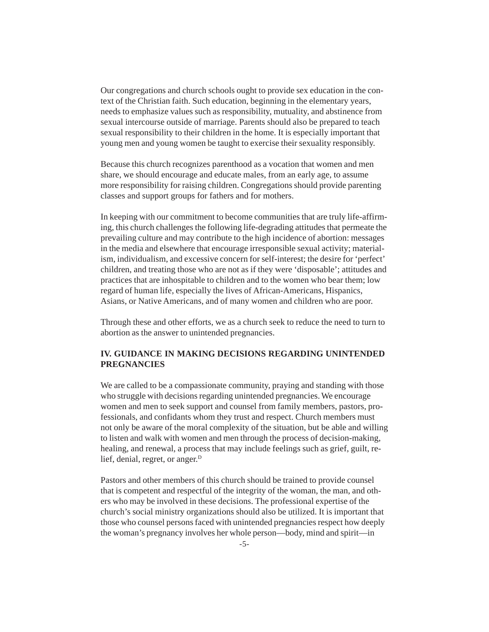Our congregations and church schools ought to provide sex education in the context of the Christian faith. Such education, beginning in the elementary years, needs to emphasize values such as responsibility, mutuality, and abstinence from sexual intercourse outside of marriage. Parents should also be prepared to teach sexual responsibility to their children in the home. It is especially important that young men and young women be taught to exercise their sexuality responsibly.

Because this church recognizes parenthood as a vocation that women and men share, we should encourage and educate males, from an early age, to assume more responsibility for raising children. Congregations should provide parenting classes and support groups for fathers and for mothers.

In keeping with our commitment to become communities that are truly life-affirming, this church challenges the following life-degrading attitudes that permeate the prevailing culture and may contribute to the high incidence of abortion: messages in the media and elsewhere that encourage irresponsible sexual activity; materialism, individualism, and excessive concern for self-interest; the desire for 'perfect' children, and treating those who are not as if they were 'disposable'; attitudes and practices that are inhospitable to children and to the women who bear them; low regard of human life, especially the lives of African-Americans, Hispanics, Asians, or Native Americans, and of many women and children who are poor.

Through these and other efforts, we as a church seek to reduce the need to turn to abortion as the answer to unintended pregnancies.

## **IV. GUIDANCE IN MAKING DECISIONS REGARDING UNINTENDED PREGNANCIES**

We are called to be a compassionate community, praying and standing with those who struggle with decisions regarding unintended pregnancies. We encourage women and men to seek support and counsel from family members, pastors, professionals, and confidants whom they trust and respect. Church members must not only be aware of the moral complexity of the situation, but be able and willing to listen and walk with women and men through the process of decision-making, healing, and renewal, a process that may include feelings such as grief, guilt, relief, denial, regret, or anger.<sup>D</sup>

Pastors and other members of this church should be trained to provide counsel that is competent and respectful of the integrity of the woman, the man, and others who may be involved in these decisions. The professional expertise of the church's social ministry organizations should also be utilized. It is important that those who counsel persons faced with unintended pregnancies respect how deeply the woman's pregnancy involves her whole person—body, mind and spirit—in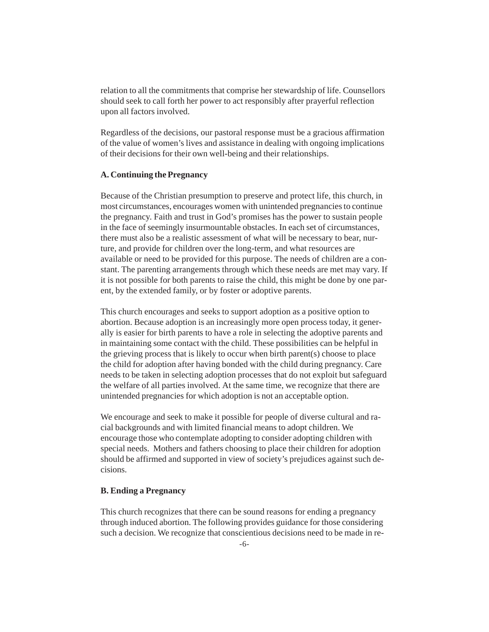relation to all the commitments that comprise her stewardship of life. Counsellors should seek to call forth her power to act responsibly after prayerful reflection upon all factors involved.

Regardless of the decisions, our pastoral response must be a gracious affirmation of the value of women's lives and assistance in dealing with ongoing implications of their decisions for their own well-being and their relationships.

#### **A. Continuing the Pregnancy**

Because of the Christian presumption to preserve and protect life, this church, in most circumstances, encourages women with unintended pregnancies to continue the pregnancy. Faith and trust in God's promises has the power to sustain people in the face of seemingly insurmountable obstacles. In each set of circumstances, there must also be a realistic assessment of what will be necessary to bear, nurture, and provide for children over the long-term, and what resources are available or need to be provided for this purpose. The needs of children are a constant. The parenting arrangements through which these needs are met may vary. If it is not possible for both parents to raise the child, this might be done by one parent, by the extended family, or by foster or adoptive parents.

This church encourages and seeks to support adoption as a positive option to abortion. Because adoption is an increasingly more open process today, it generally is easier for birth parents to have a role in selecting the adoptive parents and in maintaining some contact with the child. These possibilities can be helpful in the grieving process that is likely to occur when birth parent(s) choose to place the child for adoption after having bonded with the child during pregnancy. Care needs to be taken in selecting adoption processes that do not exploit but safeguard the welfare of all parties involved. At the same time, we recognize that there are unintended pregnancies for which adoption is not an acceptable option.

We encourage and seek to make it possible for people of diverse cultural and racial backgrounds and with limited financial means to adopt children. We encourage those who contemplate adopting to consider adopting children with special needs. Mothers and fathers choosing to place their children for adoption should be affirmed and supported in view of society's prejudices against such decisions.

#### **B. Ending a Pregnancy**

This church recognizes that there can be sound reasons for ending a pregnancy through induced abortion. The following provides guidance for those considering such a decision. We recognize that conscientious decisions need to be made in re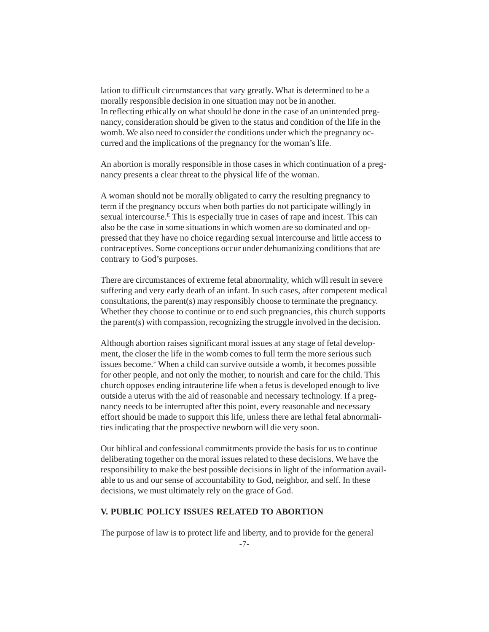lation to difficult circumstances that vary greatly. What is determined to be a morally responsible decision in one situation may not be in another. In reflecting ethically on what should be done in the case of an unintended pregnancy, consideration should be given to the status and condition of the life in the womb. We also need to consider the conditions under which the pregnancy occurred and the implications of the pregnancy for the woman's life.

An abortion is morally responsible in those cases in which continuation of a pregnancy presents a clear threat to the physical life of the woman.

A woman should not be morally obligated to carry the resulting pregnancy to term if the pregnancy occurs when both parties do not participate willingly in sexual intercourse.<sup>E</sup> This is especially true in cases of rape and incest. This can also be the case in some situations in which women are so dominated and oppressed that they have no choice regarding sexual intercourse and little access to contraceptives. Some conceptions occur under dehumanizing conditions that are contrary to God's purposes.

There are circumstances of extreme fetal abnormality, which will result in severe suffering and very early death of an infant. In such cases, after competent medical consultations, the parent(s) may responsibly choose to terminate the pregnancy. Whether they choose to continue or to end such pregnancies, this church supports the parent(s) with compassion, recognizing the struggle involved in the decision.

Although abortion raises significant moral issues at any stage of fetal development, the closer the life in the womb comes to full term the more serious such issues become.F When a child can survive outside a womb, it becomes possible for other people, and not only the mother, to nourish and care for the child. This church opposes ending intrauterine life when a fetus is developed enough to live outside a uterus with the aid of reasonable and necessary technology. If a pregnancy needs to be interrupted after this point, every reasonable and necessary effort should be made to support this life, unless there are lethal fetal abnormalities indicating that the prospective newborn will die very soon.

Our biblical and confessional commitments provide the basis for us to continue deliberating together on the moral issues related to these decisions. We have the responsibility to make the best possible decisions in light of the information available to us and our sense of accountability to God, neighbor, and self. In these decisions, we must ultimately rely on the grace of God.

## **V. PUBLIC POLICY ISSUES RELATED TO ABORTION**

The purpose of law is to protect life and liberty, and to provide for the general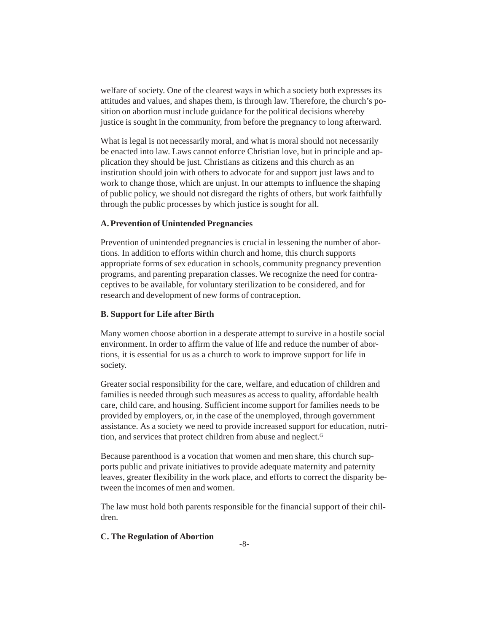welfare of society. One of the clearest ways in which a society both expresses its attitudes and values, and shapes them, is through law. Therefore, the church's position on abortion must include guidance for the political decisions whereby justice is sought in the community, from before the pregnancy to long afterward.

What is legal is not necessarily moral, and what is moral should not necessarily be enacted into law. Laws cannot enforce Christian love, but in principle and application they should be just. Christians as citizens and this church as an institution should join with others to advocate for and support just laws and to work to change those, which are unjust. In our attempts to influence the shaping of public policy, we should not disregard the rights of others, but work faithfully through the public processes by which justice is sought for all.

## **A. Prevention of Unintended Pregnancies**

Prevention of unintended pregnancies is crucial in lessening the number of abortions. In addition to efforts within church and home, this church supports appropriate forms of sex education in schools, community pregnancy prevention programs, and parenting preparation classes. We recognize the need for contraceptives to be available, for voluntary sterilization to be considered, and for research and development of new forms of contraception.

## **B. Support for Life after Birth**

Many women choose abortion in a desperate attempt to survive in a hostile social environment. In order to affirm the value of life and reduce the number of abortions, it is essential for us as a church to work to improve support for life in society.

Greater social responsibility for the care, welfare, and education of children and families is needed through such measures as access to quality, affordable health care, child care, and housing. Sufficient income support for families needs to be provided by employers, or, in the case of the unemployed, through government assistance. As a society we need to provide increased support for education, nutrition, and services that protect children from abuse and neglect.G

Because parenthood is a vocation that women and men share, this church supports public and private initiatives to provide adequate maternity and paternity leaves, greater flexibility in the work place, and efforts to correct the disparity between the incomes of men and women.

The law must hold both parents responsible for the financial support of their children.

### **C. The Regulation of Abortion**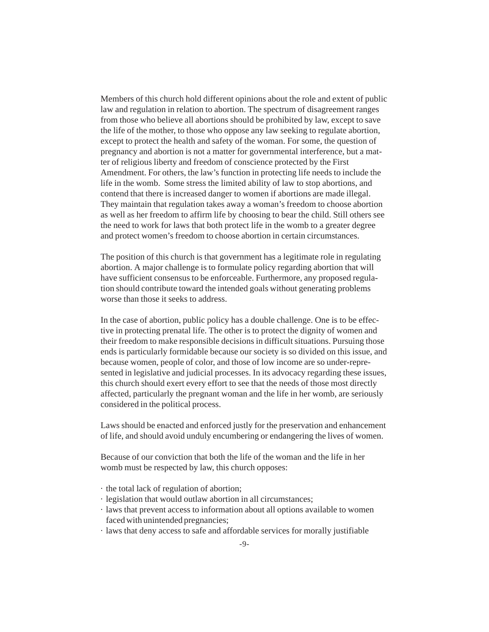Members of this church hold different opinions about the role and extent of public law and regulation in relation to abortion. The spectrum of disagreement ranges from those who believe all abortions should be prohibited by law, except to save the life of the mother, to those who oppose any law seeking to regulate abortion, except to protect the health and safety of the woman. For some, the question of pregnancy and abortion is not a matter for governmental interference, but a matter of religious liberty and freedom of conscience protected by the First Amendment. For others, the law's function in protecting life needs to include the life in the womb. Some stress the limited ability of law to stop abortions, and contend that there is increased danger to women if abortions are made illegal. They maintain that regulation takes away a woman's freedom to choose abortion as well as her freedom to affirm life by choosing to bear the child. Still others see the need to work for laws that both protect life in the womb to a greater degree and protect women's freedom to choose abortion in certain circumstances.

The position of this church is that government has a legitimate role in regulating abortion. A major challenge is to formulate policy regarding abortion that will have sufficient consensus to be enforceable. Furthermore, any proposed regulation should contribute toward the intended goals without generating problems worse than those it seeks to address.

In the case of abortion, public policy has a double challenge. One is to be effective in protecting prenatal life. The other is to protect the dignity of women and their freedom to make responsible decisions in difficult situations. Pursuing those ends is particularly formidable because our society is so divided on this issue, and because women, people of color, and those of low income are so under-represented in legislative and judicial processes. In its advocacy regarding these issues, this church should exert every effort to see that the needs of those most directly affected, particularly the pregnant woman and the life in her womb, are seriously considered in the political process.

Laws should be enacted and enforced justly for the preservation and enhancement of life, and should avoid unduly encumbering or endangering the lives of women.

Because of our conviction that both the life of the woman and the life in her womb must be respected by law, this church opposes:

- · the total lack of regulation of abortion;
- · legislation that would outlaw abortion in all circumstances;
- · laws that prevent access to information about all options available to women faced with unintended pregnancies;
- · laws that deny access to safe and affordable services for morally justifiable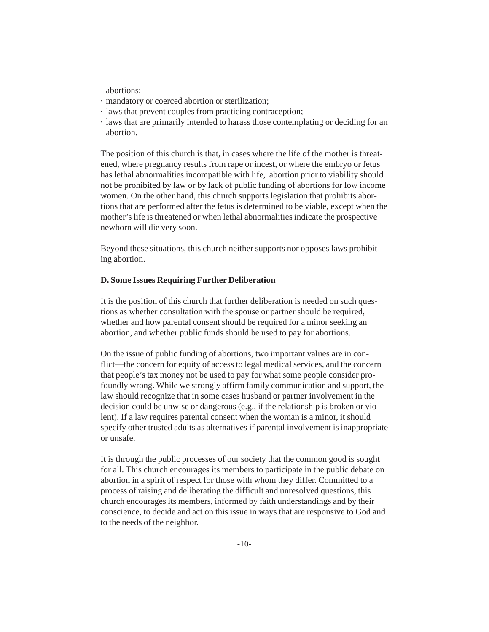abortions;

- · mandatory or coerced abortion or sterilization;
- · laws that prevent couples from practicing contraception;
- · laws that are primarily intended to harass those contemplating or deciding for an abortion.

The position of this church is that, in cases where the life of the mother is threatened, where pregnancy results from rape or incest, or where the embryo or fetus has lethal abnormalities incompatible with life, abortion prior to viability should not be prohibited by law or by lack of public funding of abortions for low income women. On the other hand, this church supports legislation that prohibits abortions that are performed after the fetus is determined to be viable, except when the mother's life is threatened or when lethal abnormalities indicate the prospective newborn will die very soon.

Beyond these situations, this church neither supports nor opposes laws prohibiting abortion.

### **D. Some Issues Requiring Further Deliberation**

It is the position of this church that further deliberation is needed on such questions as whether consultation with the spouse or partner should be required, whether and how parental consent should be required for a minor seeking an abortion, and whether public funds should be used to pay for abortions.

On the issue of public funding of abortions, two important values are in conflict—the concern for equity of access to legal medical services, and the concern that people's tax money not be used to pay for what some people consider profoundly wrong. While we strongly affirm family communication and support, the law should recognize that in some cases husband or partner involvement in the decision could be unwise or dangerous (e.g., if the relationship is broken or violent). If a law requires parental consent when the woman is a minor, it should specify other trusted adults as alternatives if parental involvement is inappropriate or unsafe.

It is through the public processes of our society that the common good is sought for all. This church encourages its members to participate in the public debate on abortion in a spirit of respect for those with whom they differ. Committed to a process of raising and deliberating the difficult and unresolved questions, this church encourages its members, informed by faith understandings and by their conscience, to decide and act on this issue in ways that are responsive to God and to the needs of the neighbor.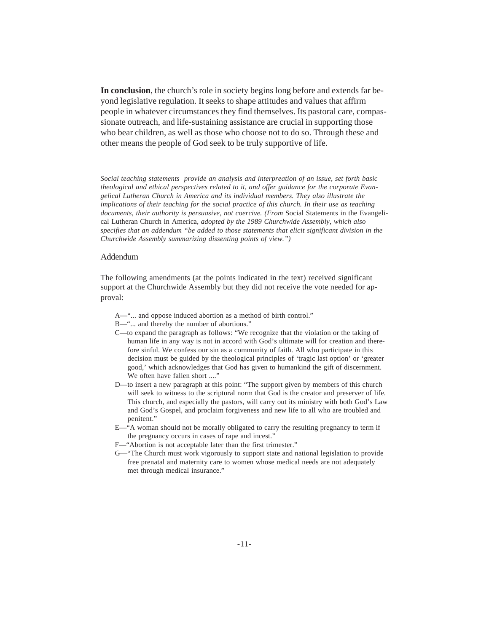**In conclusion**, the church's role in society begins long before and extends far beyond legislative regulation. It seeks to shape attitudes and values that affirm people in whatever circumstances they find themselves. Its pastoral care, compassionate outreach, and life-sustaining assistance are crucial in supporting those who bear children, as well as those who choose not to do so. Through these and other means the people of God seek to be truly supportive of life.

*Social teaching statements provide an analysis and interpreation of an issue, set forth basic theological and ethical perspectives related to it, and offer guidance for the corporate Evangelical Lutheran Church in America and its individual members. They also illustrate the implications of their teaching for the social practice of this church. In their use as teaching documents, their authority is persuasive, not coercive. (From* Social Statements in the Evangelical Lutheran Church in America*, adopted by the 1989 Churchwide Assembly, which also specifies that an addendum "be added to those statements that elicit significant division in the Churchwide Assembly summarizing dissenting points of view.")*

#### Addendum

The following amendments (at the points indicated in the text) received significant support at the Churchwide Assembly but they did not receive the vote needed for approval:

- A—"... and oppose induced abortion as a method of birth control."
- B—"... and thereby the number of abortions."
- C—to expand the paragraph as follows: "We recognize that the violation or the taking of human life in any way is not in accord with God's ultimate will for creation and therefore sinful. We confess our sin as a community of faith. All who participate in this decision must be guided by the theological principles of 'tragic last option' or 'greater good,' which acknowledges that God has given to humankind the gift of discernment. We often have fallen short ...."
- D—to insert a new paragraph at this point: "The support given by members of this church will seek to witness to the scriptural norm that God is the creator and preserver of life. This church, and especially the pastors, will carry out its ministry with both God's Law and God's Gospel, and proclaim forgiveness and new life to all who are troubled and penitent."
- E—"A woman should not be morally obligated to carry the resulting pregnancy to term if the pregnancy occurs in cases of rape and incest."
- F—"Abortion is not acceptable later than the first trimester."
- G—"The Church must work vigorously to support state and national legislation to provide free prenatal and maternity care to women whose medical needs are not adequately met through medical insurance."